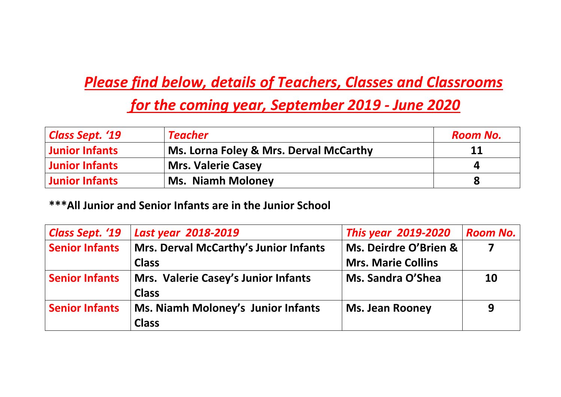## *Please find below, details of Teachers, Classes and Classrooms*

## *for the coming year, September 2019 - June 2020*

| <b>Class Sept. '19</b> | <b>Teacher</b>                         | <b>Room No.</b> |
|------------------------|----------------------------------------|-----------------|
| <b>Junior Infants</b>  | Ms. Lorna Foley & Mrs. Derval McCarthy | 11              |
| <b>Junior Infants</b>  | <b>Mrs. Valerie Casey</b>              | 4               |
| <b>Junior Infants</b>  | <b>Ms. Niamh Moloney</b>               | 8               |

#### **\*\*\*All Junior and Senior Infants are in the Junior School**

| <b>Class Sept. '19</b> | Last year 2018-2019                          | <b>This year 2019-2020</b> | <b>Room No.</b> |
|------------------------|----------------------------------------------|----------------------------|-----------------|
| <b>Senior Infants</b>  | <b>Mrs. Derval McCarthy's Junior Infants</b> | Ms. Deirdre O'Brien &      |                 |
|                        | <b>Class</b>                                 | <b>Mrs. Marie Collins</b>  |                 |
| <b>Senior Infants</b>  | Mrs. Valerie Casey's Junior Infants          | Ms. Sandra O'Shea          | <b>10</b>       |
|                        | <b>Class</b>                                 |                            |                 |
| <b>Senior Infants</b>  | Ms. Niamh Moloney's Junior Infants           | <b>Ms. Jean Rooney</b>     | 9               |
|                        | <b>Class</b>                                 |                            |                 |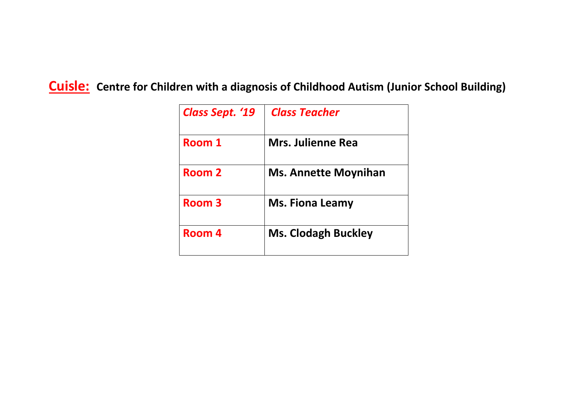#### **Cuisle: Centre for Children with a diagnosis of Childhood Autism (Junior School Building)**

| <b>Class Sept. '19</b> | <b>Class Teacher</b>        |
|------------------------|-----------------------------|
| Room 1                 | <b>Mrs. Julienne Rea</b>    |
| Room 2                 | <b>Ms. Annette Moynihan</b> |
| Room 3                 | <b>Ms. Fiona Leamy</b>      |
| Room 4                 | <b>Ms. Clodagh Buckley</b>  |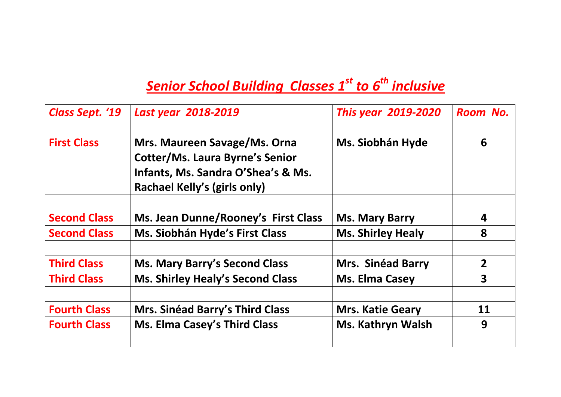# *Senior School Building Classes 1st to 6th inclusive*

| <b>Class Sept. '19</b> | Last year 2018-2019                                                                                                                          | <b>This year 2019-2020</b> | Room No.       |
|------------------------|----------------------------------------------------------------------------------------------------------------------------------------------|----------------------------|----------------|
| <b>First Class</b>     | Mrs. Maureen Savage/Ms. Orna<br><b>Cotter/Ms. Laura Byrne's Senior</b><br>Infants, Ms. Sandra O'Shea's & Ms.<br>Rachael Kelly's (girls only) | <b>Ms. Siobhán Hyde</b>    | 6              |
| <b>Second Class</b>    | Ms. Jean Dunne/Rooney's First Class                                                                                                          | <b>Ms. Mary Barry</b>      | 4              |
| <b>Second Class</b>    | Ms. Siobhán Hyde's First Class                                                                                                               | <b>Ms. Shirley Healy</b>   | 8              |
| <b>Third Class</b>     | <b>Ms. Mary Barry's Second Class</b>                                                                                                         | Mrs. Sinéad Barry          | $\overline{2}$ |
| <b>Third Class</b>     | <b>Ms. Shirley Healy's Second Class</b>                                                                                                      | <b>Ms. Elma Casey</b>      | 3              |
| <b>Fourth Class</b>    | Mrs. Sinéad Barry's Third Class                                                                                                              | <b>Mrs. Katie Geary</b>    | 11             |
| <b>Fourth Class</b>    | <b>Ms. Elma Casey's Third Class</b>                                                                                                          | <b>Ms. Kathryn Walsh</b>   | 9              |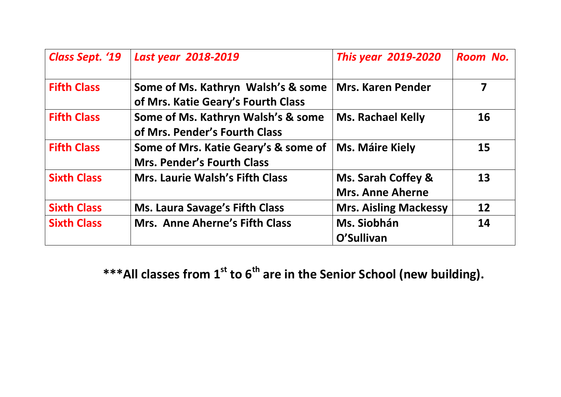| <b>Class Sept. '19</b> | Last year 2018-2019                                                       | <b>This year 2019-2020</b>                    | Room No. |
|------------------------|---------------------------------------------------------------------------|-----------------------------------------------|----------|
| <b>Fifth Class</b>     | Some of Ms. Kathryn Walsh's & some<br>of Mrs. Katie Geary's Fourth Class  | <b>Mrs. Karen Pender</b>                      | 7        |
| <b>Fifth Class</b>     | Some of Ms. Kathryn Walsh's & some<br>of Mrs. Pender's Fourth Class       | <b>Ms. Rachael Kelly</b>                      | 16       |
| <b>Fifth Class</b>     | Some of Mrs. Katie Geary's & some of<br><b>Mrs. Pender's Fourth Class</b> | <b>Ms. Máire Kiely</b>                        | 15       |
| <b>Sixth Class</b>     | <b>Mrs. Laurie Walsh's Fifth Class</b>                                    | Ms. Sarah Coffey &<br><b>Mrs. Anne Aherne</b> | 13       |
| <b>Sixth Class</b>     | <b>Ms. Laura Savage's Fifth Class</b>                                     | <b>Mrs. Aisling Mackessy</b>                  | 12       |
| <b>Sixth Class</b>     | <b>Mrs. Anne Aherne's Fifth Class</b>                                     | Ms. Siobhán<br>O'Sullivan                     | 14       |

**\*\*\*All classes from 1st to 6th are in the Senior School (new building).**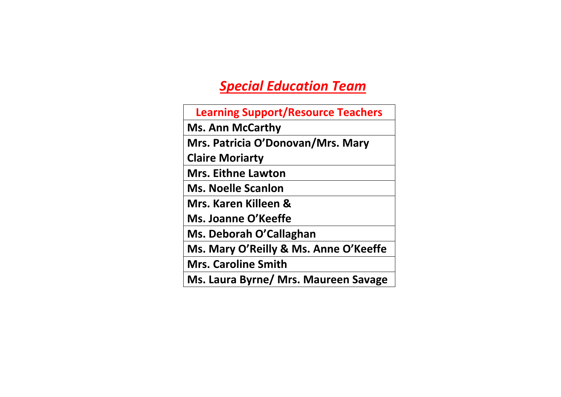### *Special Education Team*

| <b>Learning Support/Resource Teachers</b> |
|-------------------------------------------|
| <b>Ms. Ann McCarthy</b>                   |
| Mrs. Patricia O'Donovan/Mrs. Mary         |
| <b>Claire Moriarty</b>                    |
| <b>Mrs. Eithne Lawton</b>                 |
| <b>Ms. Noelle Scanlon</b>                 |
| Mrs. Karen Killeen &                      |
| Ms. Joanne O'Keeffe                       |
| Ms. Deborah O'Callaghan                   |
| Ms. Mary O'Reilly & Ms. Anne O'Keeffe     |
| <b>Mrs. Caroline Smith</b>                |
| Ms. Laura Byrne/ Mrs. Maureen Savage      |